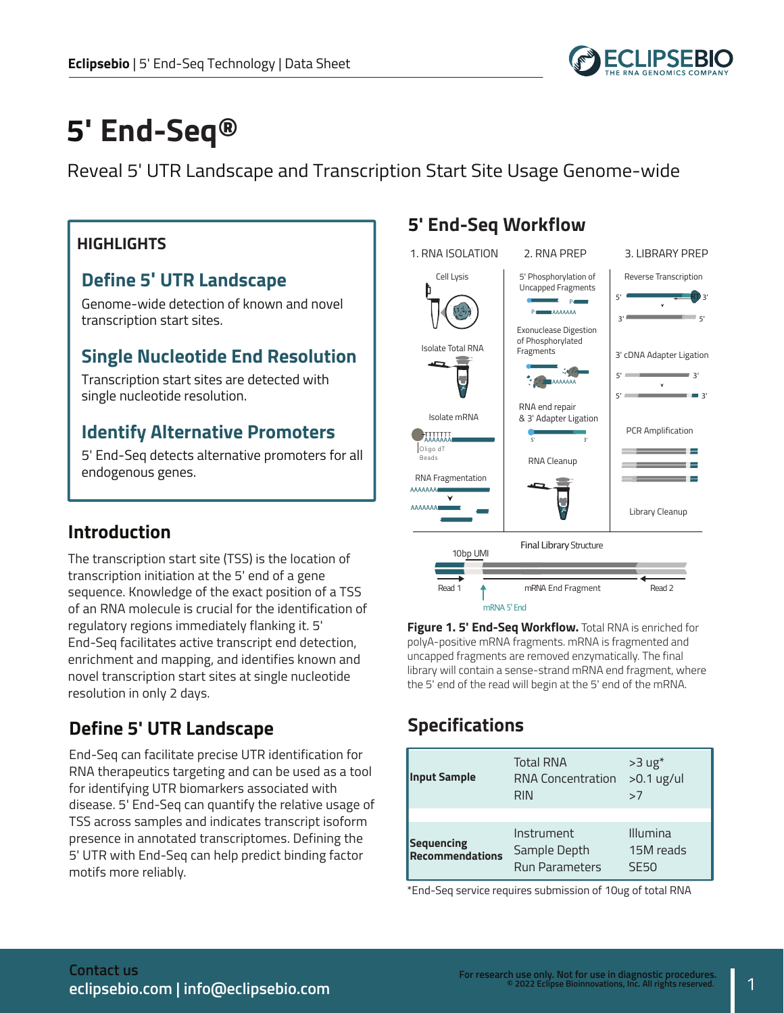

# **5' End-Seq®**

Reveal 5' UTR Landscape and Transcription Start Site Usage Genome-wide

#### **HIGHLIGHTS**

#### **Define 5' UTR Landscape**

Genome-wide detection of known and novel transcription start sites.

#### **Single Nucleotide End Resolution**

Transcription start sites are detected with single nucleotide resolution.

#### **Identify Alternative Promoters**

5' End-Seq detects alternative promoters for all endogenous genes.

#### **Introduction**

The transcription start site (TSS) is the location of transcription initiation at the 5' end of a gene sequence. Knowledge of the exact position of a TSS of an RNA molecule is crucial for the identification of regulatory regions immediately flanking it. 5' End-Seq facilitates active transcript end detection, enrichment and mapping, and identifies known and novel transcription start sites at single nucleotide resolution in only 2 days.

#### **Define 5' UTR Landscape**

End-Seq can facilitate precise UTR identification for RNA therapeutics targeting and can be used as a tool for identifying UTR biomarkers associated with disease. 5' End-Seq can quantify the relative usage of TSS across samples and indicates transcript isoform presence in annotated transcriptomes. Defining the 5' UTR with End-Seq can help predict binding factor motifs more reliably.

#### **5' End-Seq Workflow**



**Figure 1. 5' End-Seq Workflow.** Total RNA is enriched for polyA-positive mRNA fragments. mRNA is fragmented and uncapped fragments are removed enzymatically. The final library will contain a sense-strand mRNA end fragment, where the 5' end of the read will begin at the 5' end of the mRNA.

## **Specifications**

| <b>Input Sample</b>                         | <b>Total RNA</b><br><b>RNA Concentration</b><br><b>RIN</b> | $>3$ ug <sup>*</sup><br>$>0.1$ ug/ul<br>>7 |
|---------------------------------------------|------------------------------------------------------------|--------------------------------------------|
| <b>Sequencing</b><br><b>Recommendations</b> | Instrument<br>Sample Depth<br><b>Run Parameters</b>        | Illumina<br>15M reads<br>SF50              |

\*End-Seq service requires submission of 10ug of total RNA

1